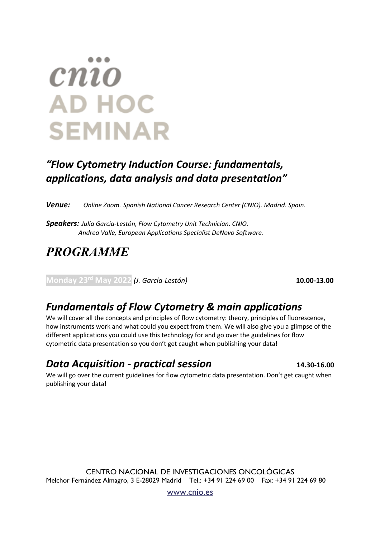# cnio **AD HOC SEMINAR**

# *"Flow Cytometry Induction Course: fundamentals, applications, data analysis and data presentation"*

*Venue: Online Zoom. Spanish National Cancer Research Center (CNIO). Madrid. Spain.*

*Speakers: Julia García-Lestón, Flow Cytometry Unit Technician. CNIO. Andrea Valle, European Applications Specialist DeNovo Software.*

# *PROGRAMME*

**Monday 23rd May 2022** *(J. García-Lestón)* **10.00-13.00**

### *Fundamentals of Flow Cytometry & main applications*

We will cover all the concepts and principles of flow cytometry: theory, principles of fluorescence, how instruments work and what could you expect from them. We will also give you a glimpse of the different applications you could use this technology for and go over the guidelines for flow cytometric data presentation so you don't get caught when publishing your data!

### *Data Acquisition - practical session* **14.30-16.00**

We will go over the current guidelines for flow cytometric data presentation. Don't get caught when publishing your data!

www.cnio.es